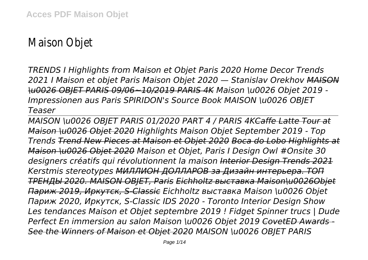# Maison Objet

*TRENDS I Highlights from Maison et Objet Paris 2020 Home Decor Trends 2021 I Maison et objet Paris Maison Objet 2020 — Stanislav Orekhov MAISON \u0026 OBJET PARIS 09/06~10/2019 PARIS 4K Maison \u0026 Objet 2019 - Impressionen aus Paris SPIRIDON's Source Book MAISON \u0026 OBJET Teaser*

*MAISON \u0026 OBJET PARIS 01/2020 PART 4 / PARIS 4KCaffe Latte Tour at Maison \u0026 Objet 2020 Highlights Maison Objet September 2019 - Top Trends Trend New Pieces at Maison et Objet 2020 Boca do Lobo Highlights at Maison \u0026 Objet 2020 Maison et Objet, Paris I Design Owl #Onsite 30 designers créatifs qui révolutionnent la maison Interior Design Trends 2021 Kerstmis stereotypes МИЛЛИОН ДОЛЛАРОВ за Дизайн интерьера. ТОП ТРЕНДЫ 2020. MAISON OBJET, Paris Eichholtz выставка Maison\u0026Objet Париж 2019, Иркутск, S-Classic Eichholtz выставка Maison \u0026 Objet Париж 2020, Иркутск, S-Classic IDS 2020 - Toronto Interior Design Show Les tendances Maison et Objet septembre 2019 ! Fidget Spinner trucs | Dude Perfect En immersion au salon Maison \u0026 Objet 2019 CovetED Awards - See the Winners of Maison et Objet 2020 MAISON \u0026 OBJET PARIS*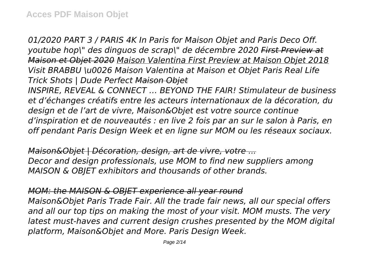*01/2020 PART 3 / PARIS 4K In Paris for Maison Objet and Paris Deco Off. youtube hop\" des dinguos de scrap\" de décembre 2020 First Preview at Maison et Objet 2020 Maison Valentina First Preview at Maison Objet 2018 Visit BRABBU \u0026 Maison Valentina at Maison et Objet Paris Real Life Trick Shots | Dude Perfect Maison Objet*

*INSPIRE, REVEAL & CONNECT … BEYOND THE FAIR! Stimulateur de business et d'échanges créatifs entre les acteurs internationaux de la décoration, du design et de l'art de vivre, Maison&Objet est votre source continue d'inspiration et de nouveautés : en live 2 fois par an sur le salon à Paris, en off pendant Paris Design Week et en ligne sur MOM ou les réseaux sociaux.*

*Maison&Objet | Décoration, design, art de vivre, votre ... Decor and design professionals, use MOM to find new suppliers among MAISON & OBJET exhibitors and thousands of other brands.*

*MOM: the MAISON & OBJET experience all year round*

*Maison&Objet Paris Trade Fair. All the trade fair news, all our special offers and all our top tips on making the most of your visit. MOM musts. The very latest must-haves and current design crushes presented by the MOM digital platform, Maison&Objet and More. Paris Design Week.*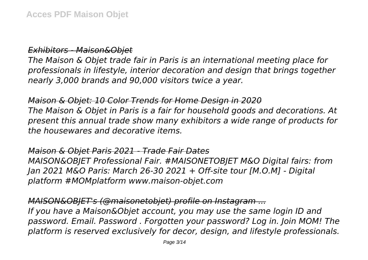*Exhibitors - Maison&Objet*

*The Maison & Objet trade fair in Paris is an international meeting place for professionals in lifestyle, interior decoration and design that brings together nearly 3,000 brands and 90,000 visitors twice a year.*

*Maison & Objet: 10 Color Trends for Home Design in 2020 The Maison & Objet in Paris is a fair for household goods and decorations. At present this annual trade show many exhibitors a wide range of products for the housewares and decorative items.*

#### *Maison & Objet Paris 2021 - Trade Fair Dates*

*MAISON&OBJET Professional Fair. #MAISONETOBJET M&O Digital fairs: from Jan 2021 M&O Paris: March 26-30 2021 + Off-site tour [M.O.M] - Digital platform #MOMplatform www.maison-objet.com*

*MAISON&OBJET's (@maisonetobjet) profile on Instagram ...*

*If you have a Maison&Objet account, you may use the same login ID and password. Email. Password . Forgotten your password? Log in. Join MOM! The platform is reserved exclusively for decor, design, and lifestyle professionals.*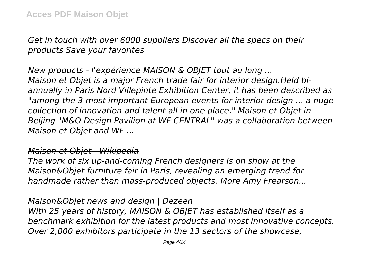*Get in touch with over 6000 suppliers Discover all the specs on their products Save your favorites.*

*New products - l'expérience MAISON & OBJET tout au long ... Maison et Objet is a major French trade fair for interior design.Held biannually in Paris Nord Villepinte Exhibition Center, it has been described as "among the 3 most important European events for interior design ... a huge collection of innovation and talent all in one place." Maison et Objet in Beijing "M&O Design Pavilion at WF CENTRAL" was a collaboration between Maison et Objet and WF ...*

#### *Maison et Objet - Wikipedia*

*The work of six up-and-coming French designers is on show at the Maison&Objet furniture fair in Paris, revealing an emerging trend for handmade rather than mass-produced objects. More Amy Frearson...*

## *Maison&Objet news and design | Dezeen*

*With 25 years of history, MAISON & OBJET has established itself as a benchmark exhibition for the latest products and most innovative concepts. Over 2,000 exhibitors participate in the 13 sectors of the showcase,*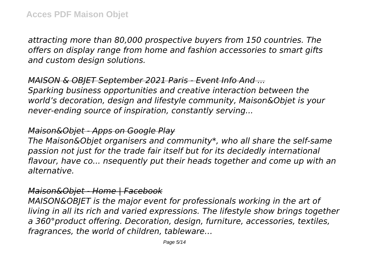*attracting more than 80,000 prospective buyers from 150 countries. The offers on display range from home and fashion accessories to smart gifts and custom design solutions.*

*MAISON & OBJET September 2021 Paris - Event Info And ... Sparking business opportunities and creative interaction between the world's decoration, design and lifestyle community, Maison&Objet is your never-ending source of inspiration, constantly serving...*

#### *Maison&Objet - Apps on Google Play*

*The Maison&Objet organisers and community\*, who all share the self-same passion not just for the trade fair itself but for its decidedly international flavour, have co... nsequently put their heads together and come up with an alternative.*

#### *Maison&Objet - Home | Facebook*

*MAISON&OBJET is the major event for professionals working in the art of living in all its rich and varied expressions. The lifestyle show brings together a 360°product offering. Decoration, design, furniture, accessories, textiles, fragrances, the world of children, tableware…*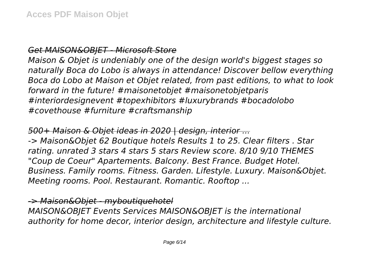## *Get MAISON&OBJET - Microsoft Store*

*Maison & Objet is undeniably one of the design world's biggest stages so naturally Boca do Lobo is always in attendance! Discover bellow everything Boca do Lobo at Maison et Objet related, from past editions, to what to look forward in the future! #maisonetobjet #maisonetobjetparis #interiordesignevent #topexhibitors #luxurybrands #bocadolobo #covethouse #furniture #craftsmanship*

## *500+ Maison & Objet ideas in 2020 | design, interior ...*

*-> Maison&Objet 62 Boutique hotels Results 1 to 25. Clear filters . Star rating. unrated 3 stars 4 stars 5 stars Review score. 8/10 9/10 THEMES "Coup de Coeur" Apartements. Balcony. Best France. Budget Hotel. Business. Family rooms. Fitness. Garden. Lifestyle. Luxury. Maison&Objet. Meeting rooms. Pool. Restaurant. Romantic. Rooftop ...*

#### *-> Maison&Objet - myboutiquehotel*

*MAISON&OBJET Events Services MAISON&OBJET is the international authority for home decor, interior design, architecture and lifestyle culture.*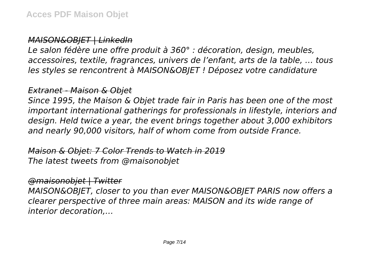#### *MAISON&OBJET | LinkedIn*

*Le salon fédère une offre produit à 360° : décoration, design, meubles, accessoires, textile, fragrances, univers de l'enfant, arts de la table, … tous les styles se rencontrent à MAISON&OBJET ! Déposez votre candidature*

## *Extranet - Maison & Objet*

*Since 1995, the Maison & Objet trade fair in Paris has been one of the most important international gatherings for professionals in lifestyle, interiors and design. Held twice a year, the event brings together about 3,000 exhibitors and nearly 90,000 visitors, half of whom come from outside France.*

# *Maison & Objet: 7 Color Trends to Watch in 2019 The latest tweets from @maisonobjet*

## *@maisonobjet | Twitter*

*MAISON&OBJET, closer to you than ever MAISON&OBJET PARIS now offers a clearer perspective of three main areas: MAISON and its wide range of interior decoration,…*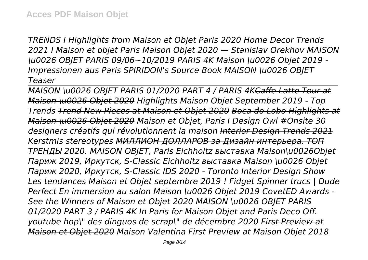*TRENDS I Highlights from Maison et Objet Paris 2020 Home Decor Trends 2021 I Maison et objet Paris Maison Objet 2020 — Stanislav Orekhov MAISON \u0026 OBJET PARIS 09/06~10/2019 PARIS 4K Maison \u0026 Objet 2019 - Impressionen aus Paris SPIRIDON's Source Book MAISON \u0026 OBJET Teaser*

*MAISON \u0026 OBJET PARIS 01/2020 PART 4 / PARIS 4KCaffe Latte Tour at Maison \u0026 Objet 2020 Highlights Maison Objet September 2019 - Top Trends Trend New Pieces at Maison et Objet 2020 Boca do Lobo Highlights at Maison \u0026 Objet 2020 Maison et Objet, Paris I Design Owl #Onsite 30 designers créatifs qui révolutionnent la maison Interior Design Trends 2021 Kerstmis stereotypes МИЛЛИОН ДОЛЛАРОВ за Дизайн интерьера. ТОП ТРЕНДЫ 2020. MAISON OBJET, Paris Eichholtz выставка Maison\u0026Objet Париж 2019, Иркутск, S-Classic Eichholtz выставка Maison \u0026 Objet Париж 2020, Иркутск, S-Classic IDS 2020 - Toronto Interior Design Show Les tendances Maison et Objet septembre 2019 ! Fidget Spinner trucs | Dude Perfect En immersion au salon Maison \u0026 Objet 2019 CovetED Awards - See the Winners of Maison et Objet 2020 MAISON \u0026 OBJET PARIS 01/2020 PART 3 / PARIS 4K In Paris for Maison Objet and Paris Deco Off. youtube hop\" des dinguos de scrap\" de décembre 2020 First Preview at Maison et Objet 2020 Maison Valentina First Preview at Maison Objet 2018*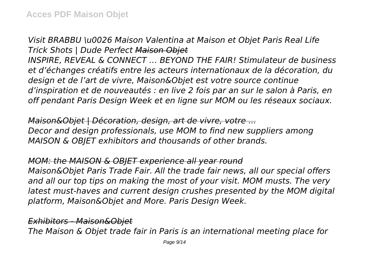*Visit BRABBU \u0026 Maison Valentina at Maison et Objet Paris Real Life Trick Shots | Dude Perfect Maison Objet INSPIRE, REVEAL & CONNECT … BEYOND THE FAIR! Stimulateur de business et d'échanges créatifs entre les acteurs internationaux de la décoration, du design et de l'art de vivre, Maison&Objet est votre source continue d'inspiration et de nouveautés : en live 2 fois par an sur le salon à Paris, en off pendant Paris Design Week et en ligne sur MOM ou les réseaux sociaux.*

*Maison&Objet | Décoration, design, art de vivre, votre ... Decor and design professionals, use MOM to find new suppliers among MAISON & OBJET exhibitors and thousands of other brands.*

*MOM: the MAISON & OBJET experience all year round Maison&Objet Paris Trade Fair. All the trade fair news, all our special offers and all our top tips on making the most of your visit. MOM musts. The very latest must-haves and current design crushes presented by the MOM digital platform, Maison&Objet and More. Paris Design Week.*

*Exhibitors - Maison&Objet*

*The Maison & Objet trade fair in Paris is an international meeting place for*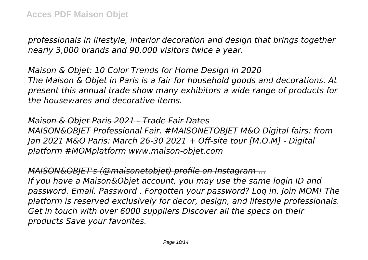*professionals in lifestyle, interior decoration and design that brings together nearly 3,000 brands and 90,000 visitors twice a year.*

*Maison & Objet: 10 Color Trends for Home Design in 2020 The Maison & Objet in Paris is a fair for household goods and decorations. At present this annual trade show many exhibitors a wide range of products for the housewares and decorative items.*

*Maison & Objet Paris 2021 - Trade Fair Dates MAISON&OBJET Professional Fair. #MAISONETOBJET M&O Digital fairs: from Jan 2021 M&O Paris: March 26-30 2021 + Off-site tour [M.O.M] - Digital platform #MOMplatform www.maison-objet.com*

*MAISON&OBJET's (@maisonetobjet) profile on Instagram ... If you have a Maison&Objet account, you may use the same login ID and password. Email. Password . Forgotten your password? Log in. Join MOM! The platform is reserved exclusively for decor, design, and lifestyle professionals. Get in touch with over 6000 suppliers Discover all the specs on their products Save your favorites.*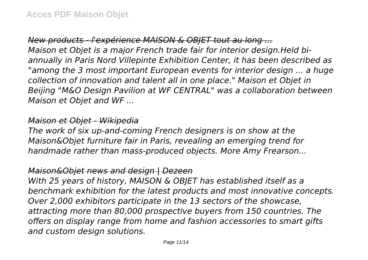*New products - l'expérience MAISON & OBJET tout au long ... Maison et Objet is a major French trade fair for interior design.Held biannually in Paris Nord Villepinte Exhibition Center, it has been described as "among the 3 most important European events for interior design ... a huge collection of innovation and talent all in one place." Maison et Objet in Beijing "M&O Design Pavilion at WF CENTRAL" was a collaboration between Maison et Objet and WF ...*

#### *Maison et Objet - Wikipedia*

*The work of six up-and-coming French designers is on show at the Maison&Objet furniture fair in Paris, revealing an emerging trend for handmade rather than mass-produced objects. More Amy Frearson...*

#### *Maison&Objet news and design | Dezeen*

*With 25 years of history, MAISON & OBJET has established itself as a benchmark exhibition for the latest products and most innovative concepts. Over 2,000 exhibitors participate in the 13 sectors of the showcase, attracting more than 80,000 prospective buyers from 150 countries. The offers on display range from home and fashion accessories to smart gifts and custom design solutions.*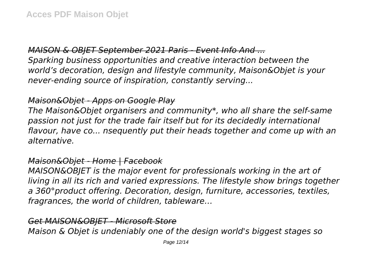# *MAISON & OBJET September 2021 Paris - Event Info And ...*

*Sparking business opportunities and creative interaction between the world's decoration, design and lifestyle community, Maison&Objet is your never-ending source of inspiration, constantly serving...*

## *Maison&Objet - Apps on Google Play*

*The Maison&Objet organisers and community\*, who all share the self-same passion not just for the trade fair itself but for its decidedly international flavour, have co... nsequently put their heads together and come up with an alternative.*

## *Maison&Objet - Home | Facebook*

*MAISON&OBJET is the major event for professionals working in the art of living in all its rich and varied expressions. The lifestyle show brings together a 360°product offering. Decoration, design, furniture, accessories, textiles, fragrances, the world of children, tableware…*

## *Get MAISON&OBJET - Microsoft Store*

*Maison & Objet is undeniably one of the design world's biggest stages so*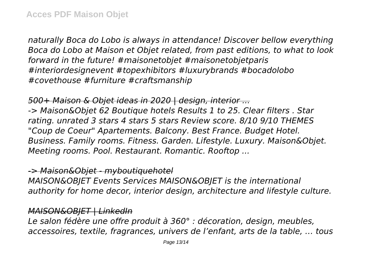*naturally Boca do Lobo is always in attendance! Discover bellow everything Boca do Lobo at Maison et Objet related, from past editions, to what to look forward in the future! #maisonetobjet #maisonetobjetparis #interiordesignevent #topexhibitors #luxurybrands #bocadolobo #covethouse #furniture #craftsmanship*

*500+ Maison & Objet ideas in 2020 | design, interior ... -> Maison&Objet 62 Boutique hotels Results 1 to 25. Clear filters . Star rating. unrated 3 stars 4 stars 5 stars Review score. 8/10 9/10 THEMES "Coup de Coeur" Apartements. Balcony. Best France. Budget Hotel. Business. Family rooms. Fitness. Garden. Lifestyle. Luxury. Maison&Objet. Meeting rooms. Pool. Restaurant. Romantic. Rooftop ...*

#### *-> Maison&Objet - myboutiquehotel*

*MAISON&OBJET Events Services MAISON&OBJET is the international authority for home decor, interior design, architecture and lifestyle culture.*

## *MAISON&OBJET | LinkedIn*

*Le salon fédère une offre produit à 360° : décoration, design, meubles, accessoires, textile, fragrances, univers de l'enfant, arts de la table, … tous*